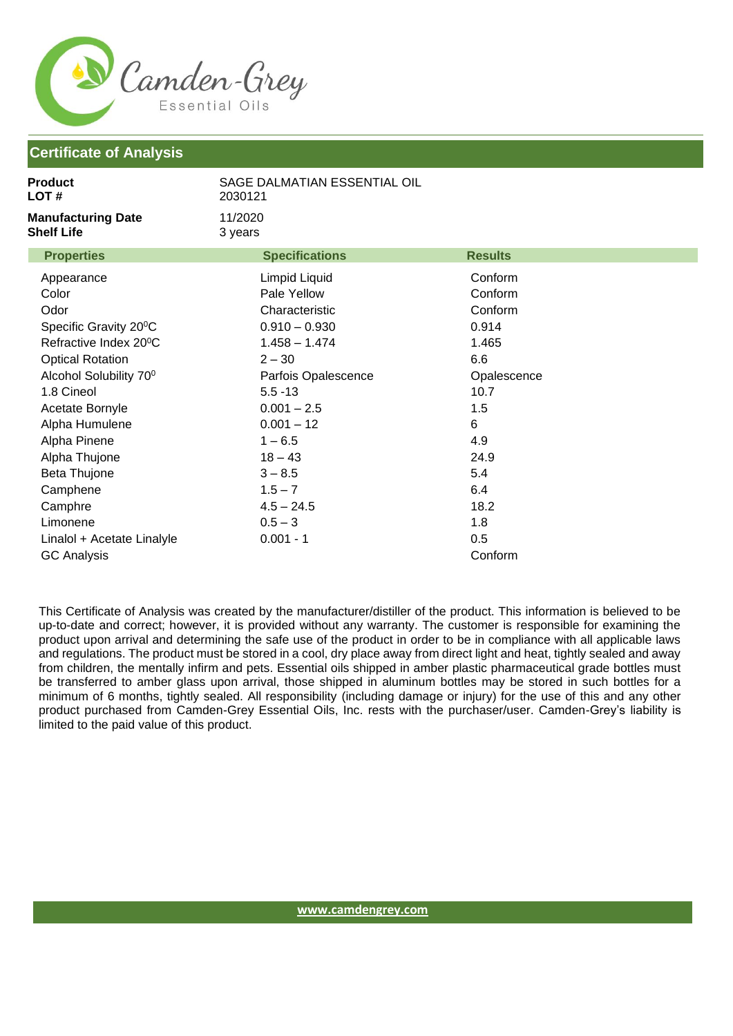

## **Certificate of Analysis**

| LOT #<br>2030121                                                                                                                                                                                                                                                                                                                                                                                                                                                                                                                                                                              |                                                                                                                                                            |  |
|-----------------------------------------------------------------------------------------------------------------------------------------------------------------------------------------------------------------------------------------------------------------------------------------------------------------------------------------------------------------------------------------------------------------------------------------------------------------------------------------------------------------------------------------------------------------------------------------------|------------------------------------------------------------------------------------------------------------------------------------------------------------|--|
| <b>Manufacturing Date</b><br>11/2020<br><b>Shelf Life</b><br>3 years                                                                                                                                                                                                                                                                                                                                                                                                                                                                                                                          |                                                                                                                                                            |  |
| <b>Properties</b><br><b>Specifications</b>                                                                                                                                                                                                                                                                                                                                                                                                                                                                                                                                                    | <b>Results</b>                                                                                                                                             |  |
| Limpid Liquid<br>Appearance<br>Color<br>Pale Yellow<br>Odor<br>Characteristic<br>Specific Gravity 20°C<br>$0.910 - 0.930$<br>Refractive Index 20°C<br>$1.458 - 1.474$<br><b>Optical Rotation</b><br>$2 - 30$<br>Alcohol Solubility 70 <sup>0</sup><br>Parfois Opalescence<br>1.8 Cineol<br>$5.5 - 13$<br>$0.001 - 2.5$<br>Acetate Bornyle<br>Alpha Humulene<br>$0.001 - 12$<br>$1 - 6.5$<br>Alpha Pinene<br>Alpha Thujone<br>$18 - 43$<br>Beta Thujone<br>$3 - 8.5$<br>Camphene<br>$1.5 - 7$<br>Camphre<br>$4.5 - 24.5$<br>Limonene<br>$0.5 - 3$<br>$0.001 - 1$<br>Linalol + Acetate Linalyle | Conform<br>Conform<br>Conform<br>0.914<br>1.465<br>6.6<br>Opalescence<br>10.7<br>1.5<br>$6\phantom{1}6$<br>4.9<br>24.9<br>5.4<br>6.4<br>18.2<br>1.8<br>0.5 |  |
| <b>GC Analysis</b>                                                                                                                                                                                                                                                                                                                                                                                                                                                                                                                                                                            | Conform                                                                                                                                                    |  |

This Certificate of Analysis was created by the manufacturer/distiller of the product. This information is believed to be up-to-date and correct; however, it is provided without any warranty. The customer is responsible for examining the product upon arrival and determining the safe use of the product in order to be in compliance with all applicable laws and regulations. The product must be stored in a cool, dry place away from direct light and heat, tightly sealed and away from children, the mentally infirm and pets. Essential oils shipped in amber plastic pharmaceutical grade bottles must be transferred to amber glass upon arrival, those shipped in aluminum bottles may be stored in such bottles for a minimum of 6 months, tightly sealed. All responsibility (including damage or injury) for the use of this and any other product purchased from Camden-Grey Essential Oils, Inc. rests with the purchaser/user. Camden-Grey's liability is limited to the paid value of this product.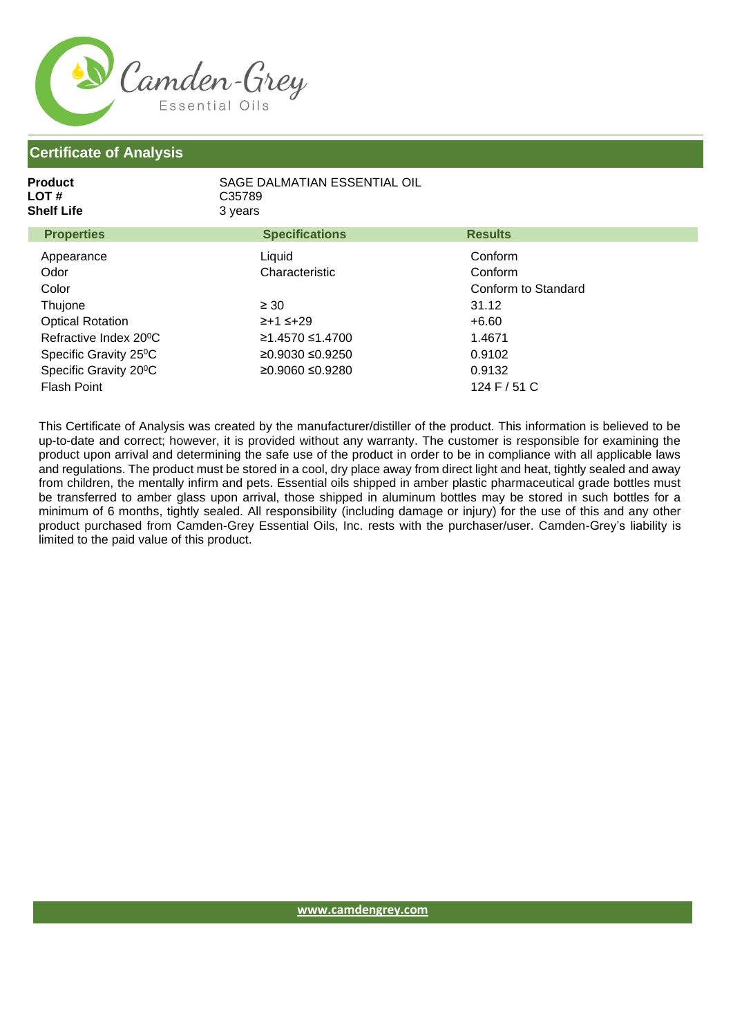

## **Certificate of Analysis**

| Product<br>LOT #<br>Shelf Life | SAGE DALMATIAN ESSENTIAL OIL<br>C <sub>35789</sub><br>3 years |                |  |
|--------------------------------|---------------------------------------------------------------|----------------|--|
| <b>Properties</b>              | <b>Specifications</b>                                         | <b>Results</b> |  |
| Appearance                     | Liauid                                                        | Conform        |  |

| <b>Appearance</b>                  | Liuuiu           | <b>CONTOUN</b>      |  |
|------------------------------------|------------------|---------------------|--|
| Odor                               | Characteristic   | Conform             |  |
| Color                              |                  | Conform to Standard |  |
| Thujone                            | $\geq 30$        | 31.12               |  |
| <b>Optical Rotation</b>            | $\ge +1 \le +29$ | $+6.60$             |  |
| Refractive Index 20 <sup>°</sup> C | ≥1.4570 ≤1.4700  | 1.4671              |  |
| Specific Gravity 25 <sup>°</sup> C | ≥0.9030 ≤0.9250  | 0.9102              |  |
| Specific Gravity 20°C              | ≥0.9060 ≤0.9280  | 0.9132              |  |
| Flash Point                        |                  | 124 F / 51 C        |  |

This Certificate of Analysis was created by the manufacturer/distiller of the product. This information is believed to be up-to-date and correct; however, it is provided without any warranty. The customer is responsible for examining the product upon arrival and determining the safe use of the product in order to be in compliance with all applicable laws and regulations. The product must be stored in a cool, dry place away from direct light and heat, tightly sealed and away from children, the mentally infirm and pets. Essential oils shipped in amber plastic pharmaceutical grade bottles must be transferred to amber glass upon arrival, those shipped in aluminum bottles may be stored in such bottles for a minimum of 6 months, tightly sealed. All responsibility (including damage or injury) for the use of this and any other product purchased from Camden-Grey Essential Oils, Inc. rests with the purchaser/user. Camden-Grey's liability is limited to the paid value of this product.